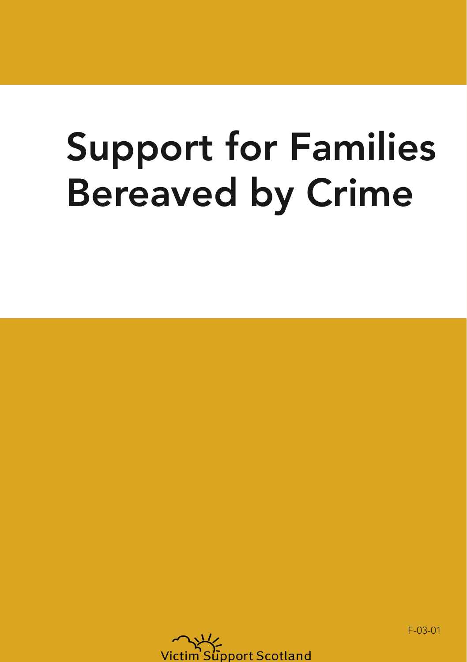## Support for Families Bereaved by Crime



F-03-01